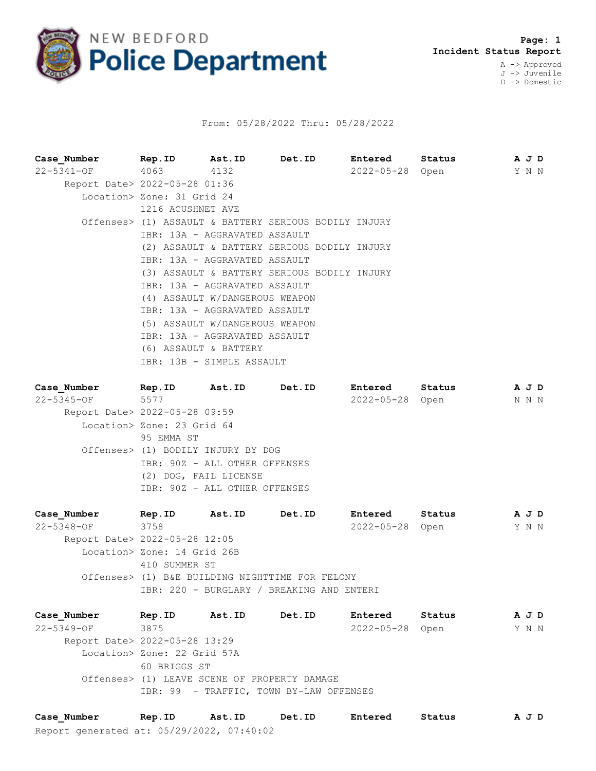

## From: 05/28/2022 Thru: 05/28/2022

| Case Number                   | Rep.ID Ast.ID Det.ID                                  |  | <b>Entered</b>  | Status | A J D |  |
|-------------------------------|-------------------------------------------------------|--|-----------------|--------|-------|--|
| 22-5341-OF 4063 4132          |                                                       |  | 2022-05-28 Open |        | Y N N |  |
| Report Date> 2022-05-28 01:36 |                                                       |  |                 |        |       |  |
|                               | Location> Zone: 31 Grid 24                            |  |                 |        |       |  |
|                               | 1216 ACUSHNET AVE                                     |  |                 |        |       |  |
|                               | Offenses> (1) ASSAULT & BATTERY SERIOUS BODILY INJURY |  |                 |        |       |  |
|                               | IBR: 13A - AGGRAVATED ASSAULT                         |  |                 |        |       |  |
|                               | (2) ASSAULT & BATTERY SERIOUS BODILY INJURY           |  |                 |        |       |  |
|                               | IBR: 13A - AGGRAVATED ASSAULT                         |  |                 |        |       |  |
|                               | (3) ASSAULT & BATTERY SERIOUS BODILY INJURY           |  |                 |        |       |  |
|                               | IBR: 13A - AGGRAVATED ASSAULT                         |  |                 |        |       |  |
|                               | (4) ASSAULT W/DANGEROUS WEAPON                        |  |                 |        |       |  |
|                               | IBR: 13A - AGGRAVATED ASSAULT                         |  |                 |        |       |  |
|                               | (5) ASSAULT W/DANGEROUS WEAPON                        |  |                 |        |       |  |
|                               | IBR: 13A - AGGRAVATED ASSAULT                         |  |                 |        |       |  |
|                               | (6) ASSAULT & BATTERY                                 |  |                 |        |       |  |
|                               | IBR: 13B - SIMPLE ASSAULT                             |  |                 |        |       |  |

| Case Number                   | Rep.ID                             | <b>Ast.ID</b> | <b>Det.ID</b>        | <b>Entered</b>  | Status | A J D |  |
|-------------------------------|------------------------------------|---------------|----------------------|-----------------|--------|-------|--|
| 22-5345-OF                    | 5577                               |               |                      | 2022-05-28 Open |        | N N N |  |
| Report Date> 2022-05-28 09:59 |                                    |               |                      |                 |        |       |  |
|                               | Location> Zone: 23 Grid 64         |               |                      |                 |        |       |  |
|                               | 95 EMMA ST                         |               |                      |                 |        |       |  |
|                               | Offenses> (1) BODILY INJURY BY DOG |               |                      |                 |        |       |  |
|                               | IBR: 90Z - ALL OTHER OFFENSES      |               |                      |                 |        |       |  |
|                               | (2) DOG, FAIL LICENSE              |               |                      |                 |        |       |  |
|                               | IBR: 90Z - ALL OTHER OFFENSES      |               |                      |                 |        |       |  |
|                               | .                                  |               | $\sim$ $\sim$ $\sim$ |                 |        |       |  |

**Case\_Number Rep.ID Ast.ID Det.ID Entered Status A J D** 22-5348-OF 3758 2022-05-28 Open Y N N Report Date> 2022-05-28 12:05 Location> Zone: 14 Grid 26B 410 SUMMER ST Offenses> (1) B&E BUILDING NIGHTTIME FOR FELONY IBR: 220 - BURGLARY / BREAKING AND ENTERI

**Case\_Number Rep.ID Ast.ID Det.ID Entered Status A J D** 22-5349-OF 3875 2022-05-28 Open Y N N Report Date> 2022-05-28 13:29 Location> Zone: 22 Grid 57A 60 BRIGGS ST Offenses> (1) LEAVE SCENE OF PROPERTY DAMAGE IBR: 99 - TRAFFIC, TOWN BY-LAW OFFENSES

Report generated at: 05/29/2022, 07:40:02 **Case\_Number Rep.ID Ast.ID Det.ID Entered Status A J D**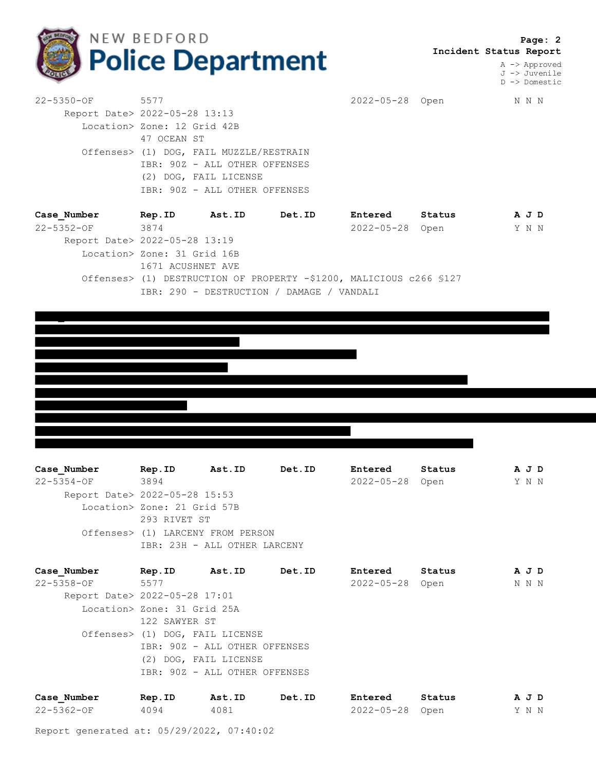

 **Page: 2 Incident Status Report**

> A -> Approved J -> Juvenile D -> Domestic

| 22-5350-OF 5577               |                                         |                             |               | 2022-05-28 Open |        |  | N N N |  |  |
|-------------------------------|-----------------------------------------|-----------------------------|---------------|-----------------|--------|--|-------|--|--|
| Report Date> 2022-05-28 13:13 |                                         |                             |               |                 |        |  |       |  |  |
|                               |                                         | Location> Zone: 12 Grid 42B |               |                 |        |  |       |  |  |
|                               | 47 OCEAN ST                             |                             |               |                 |        |  |       |  |  |
|                               | Offenses> (1) DOG, FAIL MUZZLE/RESTRAIN |                             |               |                 |        |  |       |  |  |
|                               | IBR: 90Z - ALL OTHER OFFENSES           |                             |               |                 |        |  |       |  |  |
|                               |                                         | (2) DOG, FAIL LICENSE       |               |                 |        |  |       |  |  |
|                               | IBR: 90Z - ALL OTHER OFFENSES           |                             |               |                 |        |  |       |  |  |
| Case Number                   | Rep.ID                                  | Ast.ID                      | <b>Det.ID</b> | <b>Entered</b>  | Status |  | A J D |  |  |
| 22-5352-OF                    | 3874                                    |                             |               | 2022-05-28      | Open   |  | Y N N |  |  |
| Report Date> 2022-05-28 13:19 |                                         |                             |               |                 |        |  |       |  |  |
|                               | Location> Zone: 31 Grid 16B             |                             |               |                 |        |  |       |  |  |

1671 ACUSHNET AVE Offenses> (1) DESTRUCTION OF PROPERTY -\$1200, MALICIOUS c266 §127 IBR: 290 - DESTRUCTION / DAMAGE / VANDALI

**Case\_Number Rep.ID Ast.ID Det.ID Entered Status A J D** 22-5354-OF 3894 2022-05-28 Open Y N N Report Date> 2022-05-28 15:53 Location> Zone: 21 Grid 57B 293 RIVET ST Offenses> (1) LARCENY FROM PERSON IBR: 23H - ALL OTHER LARCENY

| Case Number                   | Rep.ID                      | <b>Ast.ID</b>                   | <b>Det.ID</b> | Entered         | Status | A J D |
|-------------------------------|-----------------------------|---------------------------------|---------------|-----------------|--------|-------|
| $22 - 5358 - OF$              | 5577                        |                                 |               | 2022-05-28 Open |        | N N N |
| Report Date> 2022-05-28 17:01 |                             |                                 |               |                 |        |       |
|                               | Location> Zone: 31 Grid 25A |                                 |               |                 |        |       |
|                               | 122 SAWYER ST               |                                 |               |                 |        |       |
|                               |                             | Offenses> (1) DOG, FAIL LICENSE |               |                 |        |       |
|                               |                             | IBR: 90Z - ALL OTHER OFFENSES   |               |                 |        |       |
|                               |                             | (2) DOG, FAIL LICENSE           |               |                 |        |       |
|                               |                             | IBR: 90Z - ALL OTHER OFFENSES   |               |                 |        |       |
|                               |                             |                                 |               |                 |        |       |
|                               |                             |                                 |               |                 |        |       |

| Case Number | Rep.ID | Ast.ID | Det.ID | Entered         | Status | A J D |
|-------------|--------|--------|--------|-----------------|--------|-------|
| 22-5362-OF  | 4094   | 4081   |        | 2022-05-28 Open |        | Y N N |

Report generated at: 05/29/2022, 07:40:02